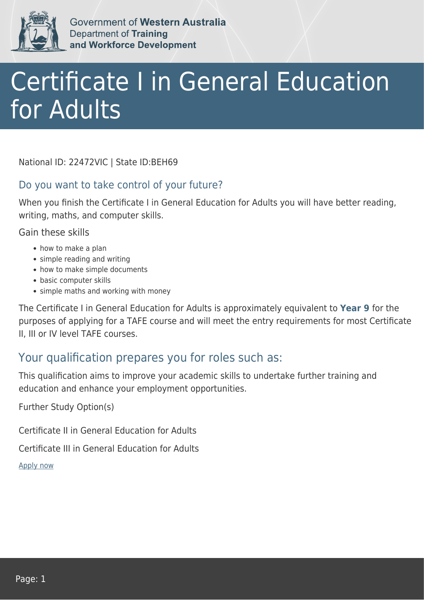

Government of Western Australia Department of Training and Workforce Development

## Certificate I in General Education for Adults

National ID: 22472VIC | State ID:BEH69

## Do you want to take control of your future?

When you finish the Certificate I in General Education for Adults you will have better reading, writing, maths, and computer skills.

Gain these skills

- how to make a plan
- simple reading and writing
- how to make simple documents
- basic computer skills
- simple maths and working with money

The Certificate I in General Education for Adults is approximately equivalent to **Year 9** for the purposes of applying for a TAFE course and will meet the entry requirements for most Certificate II, III or IV level TAFE courses.

## Your qualification prepares you for roles such as:

This qualification aims to improve your academic skills to undertake further training and education and enhance your employment opportunities.

Further Study Option(s)

Certificate II in General Education for Adults

Certificate III in General Education for Adults

[Apply now](https://tasonline.tafe.wa.edu.au/Default.aspx)